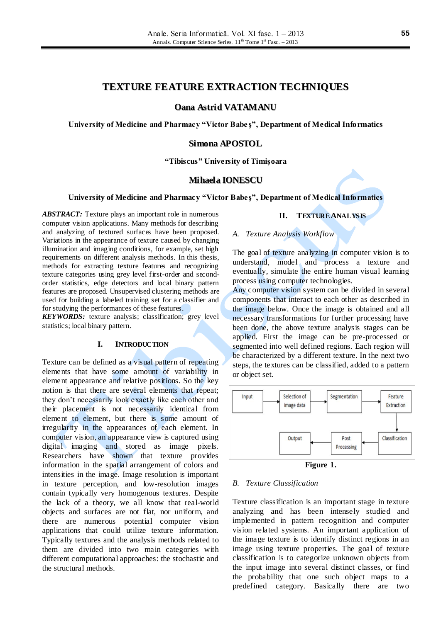# **TEXTURE FEATURE EXTRACTION TECHNIQUES**

**Oana Astrid VATAMANU**

**University of Medicine and Pharmacy "Victor Babe ş", Department of Medical Informatics**

### **Simona APOSTOL**

**"Tibiscus" University of Timişoara**

#### **Mihaela IONESCU**

#### **University of Medicine and Pharmacy "Victor Babeş", Department of Medical Informatics**

*ABSTRACT:* Texture plays an important role in numerous computer vision applications. Many methods for describing and analyzing of textured surfaces have been proposed. Variations in the appearance of texture caused by changing illumination and imaging conditions, for example, set high requirements on different analysis methods. In this thesis, methods for extracting texture features and recognizing texture categories using grey level first-order and secondorder statistics, edge detectors and local binary pattern features are proposed. Unsupervised clustering methods are used for building a labeled training set for a classifier and for studying the performances of these features.

*KEYWORDS:* texture analysis; classification; grey level statistics; local binary pattern.

#### **I. INTRODUCTION**

Texture can be defined as a visual pattern of repeating elements that have some amount of variability in element appearance and relative positions. So the key notion is that there are several elements that repeat; they don't necessarily look exactly like each other and their placement is not necessarily identical from element to element, but there is some amount of irregularity in the appearances of each element. In computer vision, an appearance view is captured using digital imaging and stored as image pixels. Researchers have shown that texture provides information in the spatial arrangement of colors and intensities in the image. Image resolution is important in texture perception, and low-resolution images contain typically very homogenous textures. Despite the lack of a theory, we all know that real-world objects and surfaces are not flat, nor uniform, and there are numerous potential computer vision applications that could utilize texture information. Typically textures and the analysis methods related to them are divided into two main categories with different computational approaches: the stochastic and the structural methods.

#### **II. TEXTURE ANALYSIS**

### *A. Texture Analysis Workflow*

The goal of texture analyzing in computer vision is to understand, model and process a texture and eventually, simulate the entire human visual learning process using computer technologies.

Any computer vision system can be divided in several components that interact to each other as described in the image below. Once the image is obtained and all necessary transformations for further processing have been done, the above texture analysis stages can be applied. First the image can be pre-processed or segmented into well defined regions. Each region will be characterized by a different texture. In the next two steps, the textures can be classified, added to a pattern or object set.



#### *B. Texture Classification*

Texture classification is an important stage in texture analyzing and has been intensely studied and implemented in pattern recognition and computer vision related systems. An important application of the image texture is to identify distinct regions in an image using texture properties. The goal of texture classification is to categorize unknown objects from the input image into several distinct classes, or find the probability that one such object maps to a predefined category. Basically there are two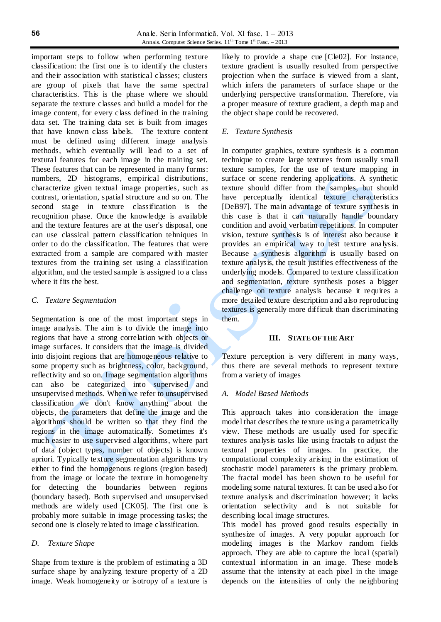important steps to follow when performing texture classification: the first one is to identify the clusters and their association with statistical classes; clusters are group of pixels that have the same spectral characteristics. This is the phase where we should separate the texture classes and build a model for the image content, for every class defined in the training data set. The training data set is built from images that have known class labels. The texture content must be defined using different image analysis methods, which eventually will lead to a set of textural features for each image in the training set. These features that can be represented in many forms: numbers, 2D histograms, empirical distributions, characterize given textual image properties, such as contrast, orientation, spatial structure and so on. The second stage in texture classification is the recognition phase. Once the knowledge is available and the texture features are at the user's disposal, one can use classical pattern classification tehniques in order to do the classification. The features that were extracted from a sample are compared with master textures from the training set using a classification algorithm, and the tested sample is assigned to a class where it fits the best.

### *C. Texture Segmentation*

Segmentation is one of the most important steps in image analysis. The aim is to divide the image into regions that have a strong correlation with objects or image surfaces. It considers that the image is divided into disjoint regions that are homogeneous relative to some property such as brightness, color, background, reflectivity and so on. Image segmentation algorithms can also be categorized into supervised and unsupervised methods. When we refer to unsupervised classification we don't know anything about the objects, the parameters that define the image and the algorithms should be written so that they find the regions in the image automatically. Sometimes it's much easier to use supervised algorithms, where part of data (object types, number of objects) is known apriori. Typically texture segmentation algorithms try either to find the homogenous regions (region based) from the image or locate the texture in homogeneity for detecting the boundaries between regions (boundary based). Both supervised and unsupervised methods are widely used [CK05]. The first one is probably more suitable in image processing tasks; the second one is closely related to image classification.

### *D. Texture Shape*

Shape from texture is the problem of estimating a 3D surface shape by analyzing texture property of a 2D image. Weak homogeneity or isotropy of a texture is likely to provide a shape cue [Cle02]. For instance, texture gradient is usually resulted from perspective projection when the surface is viewed from a slant, which infers the parameters of surface shape or the underlying perspective transformation. Therefore, via a proper measure of texture gradient, a depth map and the object shape could be recovered.

### *E. Texture Synthesis*

In computer graphics, texture synthesis is a common technique to create large textures from usually small texture samples, for the use of texture mapping in surface or scene rendering applications. A synthetic texture should differ from the samples, but should have perceptually identical texture characteristics [DeB97]. The main advantage of texture synthesis in this case is that it can naturally handle boundary condition and avoid verbatim repetitions. In computer vision, texture synthesis is of interest also because it provides an empirical way to test texture analysis. Because a synthesis algorithm is usually based on texture analysis, the result justifies effectiveness of the underlying models. Compared to texture classification and segmentation, texture synthesis poses a bigger challenge on texture analysis because it requires a more detailed texture description and also reproducing textures is generally more difficult than discriminating them.

### **III. STATE OF THE ART**

Texture perception is very different in many ways, thus there are several methods to represent texture from a variety of images

### *A. Model Based Methods*

This approach takes into consideration the image model that describes the texture using a parametrically view. These methods are usually used for specific textures analysis tasks like using fractals to adjust the textural properties of images. In practice, the computational complexity arising in the estimation of stochastic model parameters is the primary problem. The fractal model has been shown to be useful for modeling some natural textures. It can be used also for texture analysis and discrimination however; it lacks orientation selectivity and is not suitable for describing local image structures.

This model has proved good results especially in synthesize of images. A very popular approach for modeling images is the Markov random fields approach. They are able to capture the local (spatial) contextual information in an image. These models assume that the intensity at each pixel in the image depends on the intensities of only the neighboring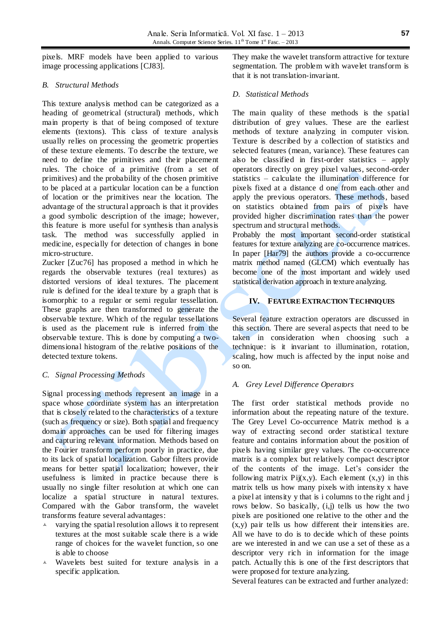pixels. MRF models have been applied to various image processing applications [CJ83].

# *B. Structural Methods*

This texture analysis method can be categorized as a heading of geometrical (structural) methods, which main property is that of being composed of texture elements (textons). This class of texture analysis usually relies on processing the geometric properties of these texture elements. To describe the texture, we need to define the primitives and their placement rules. The choice of a primitive (from a set of primitives) and the probability of the chosen primitive to be placed at a particular location can be a function of location or the primitives near the location. The advantage of the structural approach is that it provides a good symbolic description of the image; however, this feature is more useful for synthesis than analysis task. The method was successfully applied in medicine, especially for detection of changes in bone micro-structure.

Zucker [Zuc76] has proposed a method in which he regards the observable textures (real textures) as distorted versions of ideal textures. The placement rule is defined for the ideal texture by a graph that is isomorphic to a regular or semi regular tessellation. These graphs are then transformed to generate the observable texture. Which of the regular tessellations is used as the placement rule is inferred from the observable texture. This is done by computing a twodimensional histogram of the relative positions of the detected texture tokens.

## *C. Signal Processing Methods*

Signal processing methods represent an image in a space whose coordinate system has an interpretation that is closely related to the characteristics of a texture (such as frequency or size). Both spatial and frequency domain approaches can be used for filtering images and capturing relevant information. Methods based on the Fourier transform perform poorly in practice, due to its lack of spatial localization. Gabor filters provide means for better spatial localization; however, their usefulness is limited in practice because there is usually no single filter resolution at which one can localize a spatial structure in natural textures. Compared with the Gabor transform, the wavelet transforms feature several advantages:

- $\lambda$  varying the spatial resolution allows it to represent textures at the most suitable scale there is a wide range of choices for the wavelet function, so one is able to choose
- Wavelets best suited for texture analysis in a specific application.

They make the wavelet transform attractive for texture segmentation. The problem with wavelet transform is that it is not translation-invariant.

# *D. Statistical Methods*

The main quality of these methods is the spatial distribution of grey values. These are the earliest methods of texture analyzing in computer vision. Texture is described by a collection of statistics and selected features (mean, variance). These features can also be classified in first-order statistics – apply operators directly on grey pixel values, second-order statistics – calculate the illumination difference for pixels fixed at a distance d one from each other and apply the previous operators. These methods, based on statistics obtained from pairs of pixels have provided higher discrimination rates than the power spectrum and structural methods.

Probably the most important second-order statistical features for texture analyzing are co-occurrence matrices. In paper [Har79] the authors provide a co-occurrence matrix method named (GLCM) which eventually has become one of the most important and widely used statistical derivation approach in texture analyzing.

# **IV. FEATURE EXTRACTION TECHNIQUES**

Several feature extraction operators are discussed in this section. There are several aspects that need to be taken in consideration when choosing such a technique: is it invariant to illumination, rotation, scaling, how much is affected by the input noise and so on.

## *A. Grey Level Difference Operators*

The first order statistical methods provide no information about the repeating nature of the texture. The Grey Level Co-occurrence Matrix method is a way of extracting second order statistical texture feature and contains information about the position of pixels having similar grey values. The co-occurrence matrix is a complex but relatively compact descriptor of the contents of the image. Let's consider the following matrix  $Pij(x,y)$ . Each element  $(x,y)$  in this matrix tells us how many pixels with intensity x have a pixel at intensity y that is i columns to the right and j rows below. So basically,  $(i, j)$  tells us how the two pixels are positioned one relative to the other and the  $(x, y)$  pair tells us how different their intensities are. All we have to do is to decide which of these points are we interested in and we can use a set of these as a descriptor very rich in information for the image patch. Actually this is one of the first descriptors that were proposed for texture analyzing.

Several features can be extracted and further analyzed: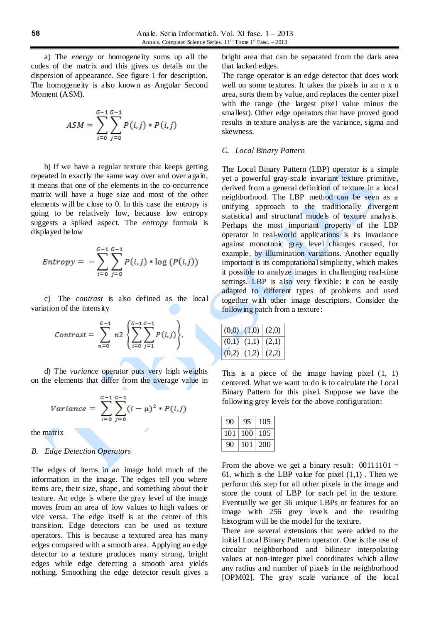a) The *energy* or homogeneity sums up all the codes of the matrix and this gives us details on the dispersion of appearance. See figure 1 for description. The homogeneity is also known as Angular Second Moment (ASM).

$$
ASM = \sum_{i=0}^{G-1} \sum_{j=0}^{G-1} P(i,j) * P(i,j)
$$

b) If we have a regular texture that keeps getting repeated in exactly the same way over and over again, it means that one of the elements in the co-occurrence matrix will have a huge size and most of the other elements will be close to 0. In this case the entropy is going to be relatively low, because low entropy suggests a spiked aspect. The *entropy* formula is displayed below

$$
Entropy = -\sum_{i=0}^{G-1} \sum_{j=0}^{G-1} P(i,j) * \log (P(i,j))
$$

c) The *contrast* is also defined as the local variation of the intensity

$$
Contrast = \sum_{n=0}^{G-1} n2 \left\{ \sum_{i=0}^{G-1} \sum_{j=1}^{G-1} P(i,j) \right\},\,
$$

d) The *variance* operator puts very high weights on the elements that differ from the average value in

$$
Variance = \sum_{i=0}^{G-1} \sum_{j=0}^{G-1} (i - \mu)^2 * P(i,j)
$$

the matrix

#### *B. Edge Detection Operators*

The edges of items in an image hold much of the information in the image. The edges tell you where items are, their size, shape, and something about their texture. An edge is where the gray level of the image moves from an area of low values to high values or vice versa. The edge itself is at the center of this transition. Edge detectors can be used as texture operators. This is because a textured area has many edges compared with a smooth area. Applying an edge detector to a texture produces many strong, bright edges while edge detecting a smooth area yields nothing. Smoothing the edge detector result gives a bright area that can be separated from the dark area that lacked edges.

The range operator is an edge detector that does work well on some textures. It takes the pixels in an n x n area, sorts them by value, and replaces the center pixel with the range (the largest pixel value minus the smallest). Other edge operators that have proved good results in texture analysis are the variance, sigma and skewness.

### *C. Local Binary Pattern*

The Local Binary Pattern (LBP) operator is a simple yet a powerful gray-scale invariant texture primitive, derived from a general definition of texture in a local neighborhood. The LBP method can be seen as a unifying approach to the traditionally divergent statistical and structural models of texture analysis. Perhaps the most important property of the LBP operator in real-world applications is its invariance against monotonic gray level changes caused, for example, by illumination variations. Another equally important is its computational simplicity, which makes it possible to analyze images in challenging real-time settings. LBP is also very flexible: it can be easily adapted to different types of problems and used together with other image descriptors. Consider the following patch from a texture:

|       | $(0,0)$ $(1,0)$ $(2,0)$ |       |
|-------|-------------------------|-------|
|       | $(0,1)$ $(1,1)$         | (2,1) |
| (0,2) | (1,2)                   | (2.2) |

This is a piece of the image having pixel  $(1, 1)$ centered. What we want to do is to calculate the Local Binary Pattern for this pixel. Suppose we have the following grey levels for the above configuration:

| 90  | 95  | 105 |
|-----|-----|-----|
| 101 | 100 | 105 |
| 90  | 101 | 200 |

From the above we get a binary result:  $00111101 =$ 61, which is the LBP value for pixel  $(1,1)$ . Then we perform this step for all other pixels in the image and store the count of LBP for each pel in the texture. Eventually we get 36 unique LBPs or features for an image with 256 grey levels and the resulting histogram will be the model for the texture.

There are several extensions that were added to the initial Local Binary Pattern operator. One is the use of circular neighborhood and bilinear interpolating values at non-integer pixel coordinates which allow any radius and number of pixels in the neighborhood [OPM02]. The gray scale variance of the local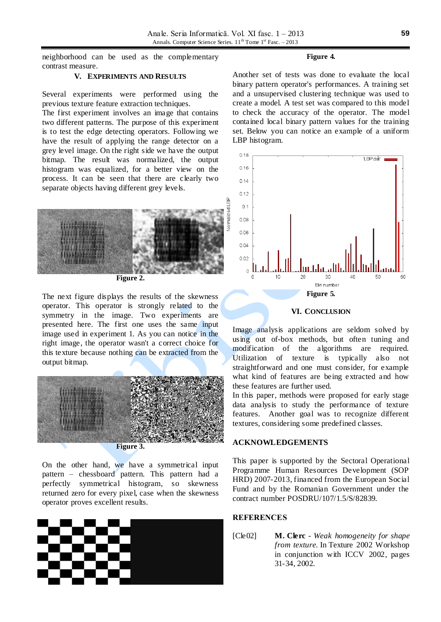neighborhood can be used as the complementary contrast measure.

### **V. EXPERIMENTS AND RESULTS**

Several experiments were performed using the previous texture feature extraction techniques.

The first experiment involves an image that contains two different patterns. The purpose of this experiment is to test the edge detecting operators. Following we have the result of applying the range detector on a grey level image. On the right side we have the output bitmap. The result was normalized, the output histogram was equalized, for a better view on the process. It can be seen that there are clearly two separate objects having different grey levels.



**Figure 2.**

The next figure displays the results of the skewness operator. This operator is strongly related to the symmetry in the image. Two experiments are presented here. The first one uses the same input image used in experiment 1. As you can notice in the right image, the operator wasn't a correct choice for this texture because nothing can be extracted from the output bitmap.



On the other hand, we have a symmetrical input pattern – chessboard pattern. This pattern had a perfectly symmetrical histogram, so skewness returned zero for every pixel, case when the skewness operator proves excellent results.



#### **Figure 4.**

Another set of tests was done to evaluate the local binary pattern operator's performances. A training set and a unsupervised clustering technique was used to create a model. A test set was compared to this model to check the accuracy of the operator. The model contained local binary pattern values for the training set. Below you can notice an example of a uniform LBP histogram.



### **VI. CONCLUSION**

Image analysis applications are seldom solved by using out of-box methods, but often tuning and modification of the algorithms are required. Utilization of texture is typically also not straightforward and one must consider, for example what kind of features are being extracted and how these features are further used.

In this paper, methods were proposed for early stage data analysis to study the performance of texture features. Another goal was to recognize different textures, considering some predefined classes.

### **ACKNOWLEDGEMENTS**

This paper is supported by the Sectoral Operational Programme Human Resources Development (SOP HRD) 2007-2013, financed from the European Social Fund and by the Romanian Government under the contract number POSDRU/107/1.5/S/82839.

# **REFERENCES**

[Cle02] **M. Clerc** - *Weak homogeneity for shape from texture*. In Texture 2002 Workshop in conjunction with ICCV 2002, pages 31-34, 2002.